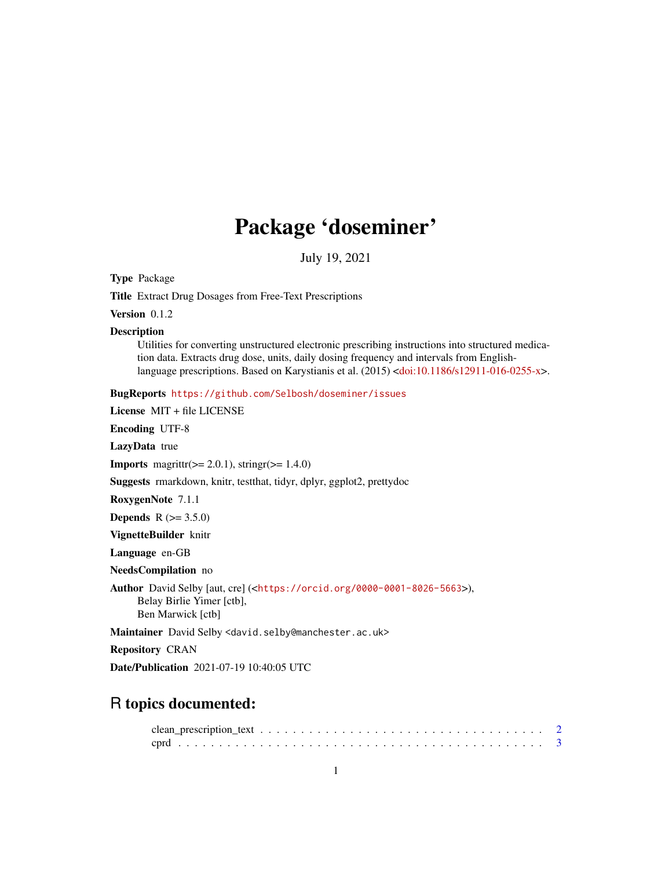# Package 'doseminer'

July 19, 2021

<span id="page-0-0"></span>Type Package

Title Extract Drug Dosages from Free-Text Prescriptions

Version 0.1.2

**Description** 

Utilities for converting unstructured electronic prescribing instructions into structured medication data. Extracts drug dose, units, daily dosing frequency and intervals from Englishlanguage prescriptions. Based on Karystianis et al. (2015) [<doi:10.1186/s12911-016-0255-x>](https://doi.org/10.1186/s12911-016-0255-x).

BugReports <https://github.com/Selbosh/doseminer/issues>

License MIT + file LICENSE Encoding UTF-8 LazyData true **Imports** magnitur( $>= 2.0.1$ ), stringr( $>= 1.4.0$ ) Suggests rmarkdown, knitr, testthat, tidyr, dplyr, ggplot2, prettydoc RoxygenNote 7.1.1 **Depends**  $R (= 3.5.0)$ VignetteBuilder knitr Language en-GB NeedsCompilation no Author David Selby [aut, cre] (<<https://orcid.org/0000-0001-8026-5663>>), Belay Birlie Yimer [ctb], Ben Marwick [ctb] Maintainer David Selby <david.selby@manchester.ac.uk> Repository CRAN Date/Publication 2021-07-19 10:40:05 UTC

# R topics documented: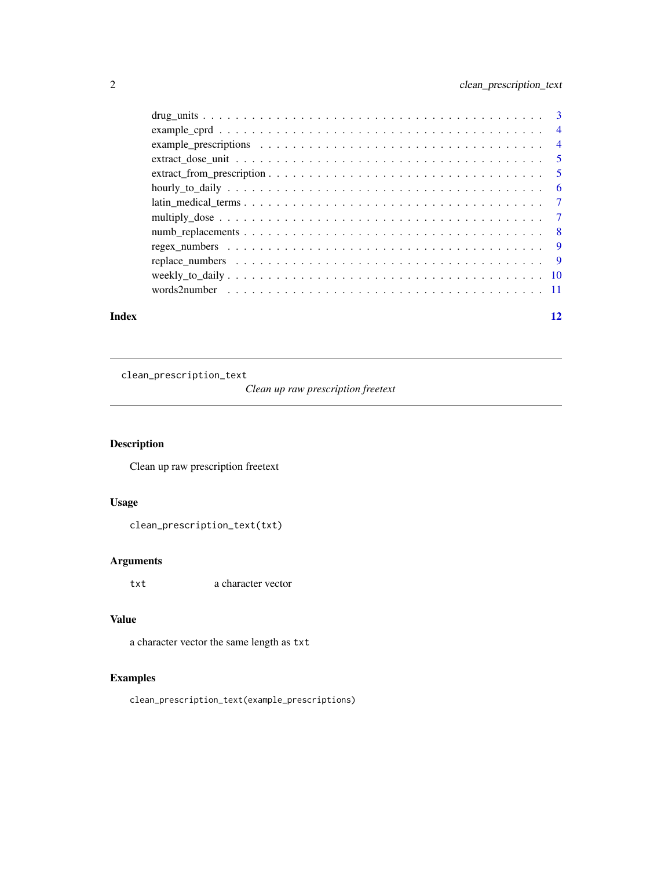<span id="page-1-0"></span>

| Index | 12 |
|-------|----|
|       |    |
|       |    |
|       |    |
|       |    |
|       |    |
|       |    |
|       |    |
|       |    |
|       |    |
|       |    |
|       |    |
|       |    |
|       |    |

clean\_prescription\_text

*Clean up raw prescription freetext*

# Description

Clean up raw prescription freetext

# Usage

clean\_prescription\_text(txt)

# Arguments

txt a character vector

# Value

a character vector the same length as txt

# Examples

clean\_prescription\_text(example\_prescriptions)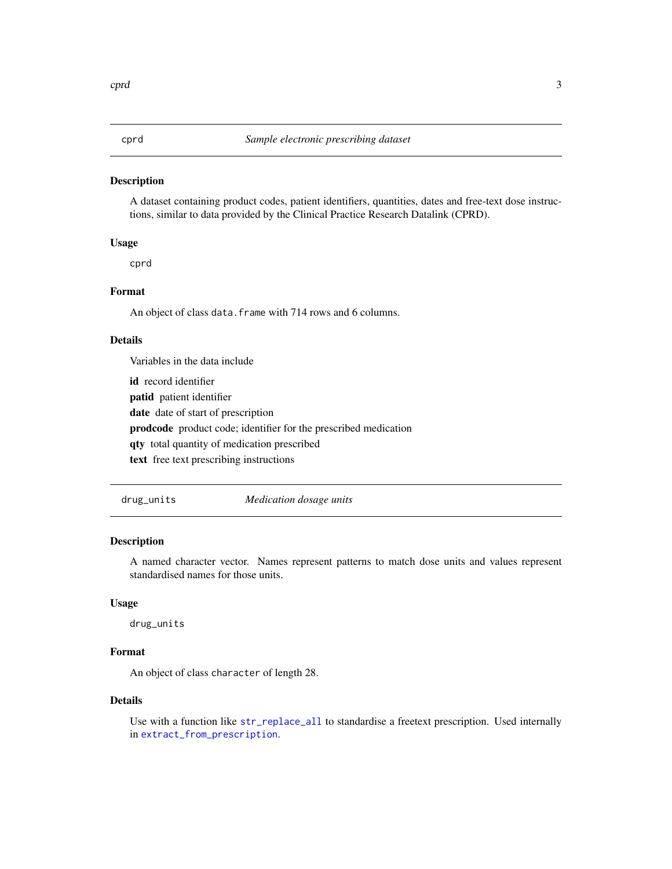<span id="page-2-0"></span>A dataset containing product codes, patient identifiers, quantities, dates and free-text dose instructions, similar to data provided by the Clinical Practice Research Datalink (CPRD).

#### Usage

cprd

#### Format

An object of class data.frame with 714 rows and 6 columns.

#### Details

Variables in the data include

id record identifier

patid patient identifier

date date of start of prescription

prodcode product code; identifier for the prescribed medication

qty total quantity of medication prescribed

text free text prescribing instructions

drug\_units *Medication dosage units*

#### Description

A named character vector. Names represent patterns to match dose units and values represent standardised names for those units.

# Usage

drug\_units

# Format

An object of class character of length 28.

# Details

Use with a function like [str\\_replace\\_all](#page-0-0) to standardise a freetext prescription. Used internally in [extract\\_from\\_prescription](#page-4-1).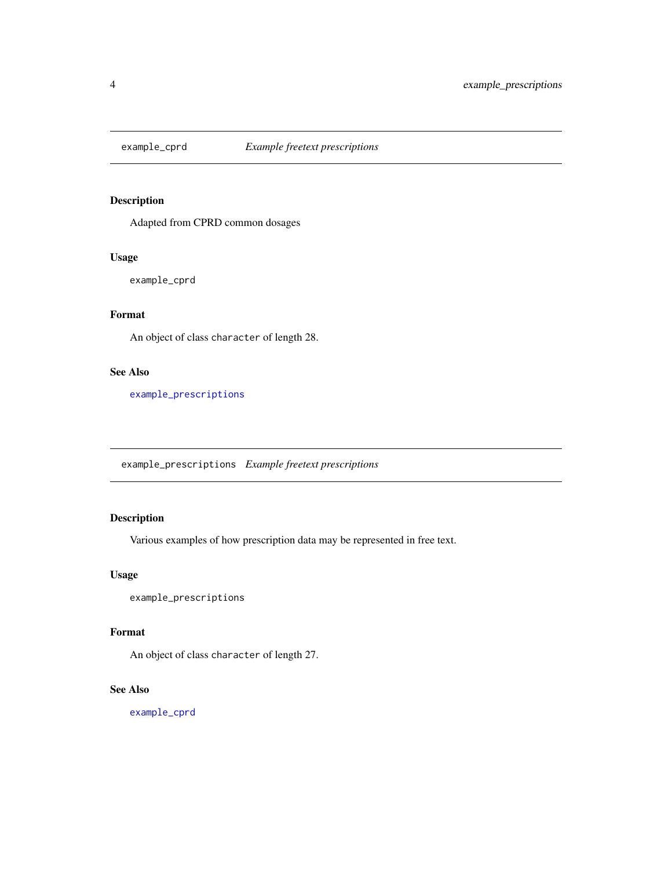<span id="page-3-2"></span><span id="page-3-0"></span>

Adapted from CPRD common dosages

#### Usage

example\_cprd

# Format

An object of class character of length 28.

# See Also

[example\\_prescriptions](#page-3-1)

<span id="page-3-1"></span>example\_prescriptions *Example freetext prescriptions*

# Description

Various examples of how prescription data may be represented in free text.

### Usage

example\_prescriptions

#### Format

An object of class character of length 27.

# See Also

[example\\_cprd](#page-3-2)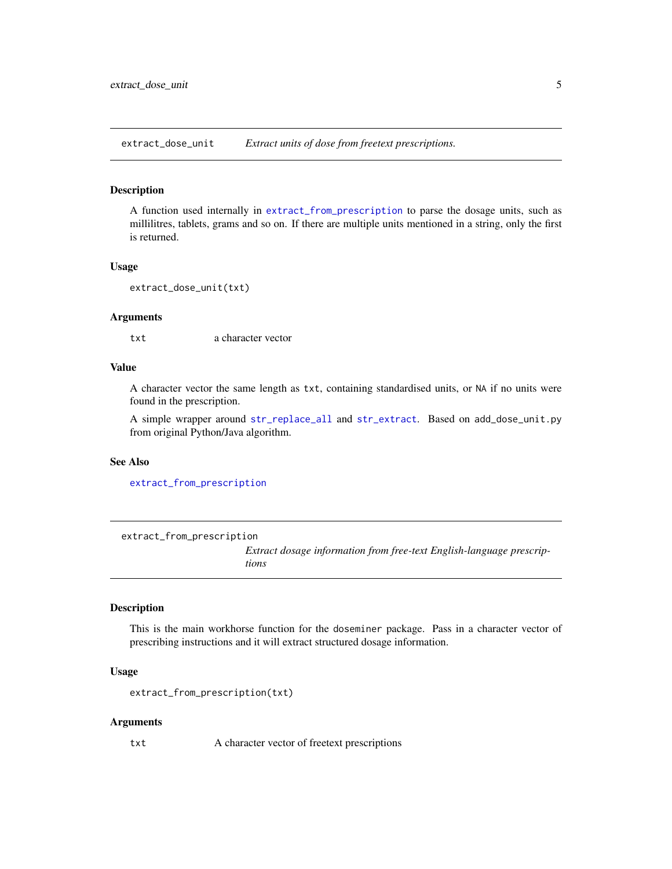<span id="page-4-0"></span>extract\_dose\_unit *Extract units of dose from freetext prescriptions.*

#### Description

A function used internally in [extract\\_from\\_prescription](#page-4-1) to parse the dosage units, such as millilitres, tablets, grams and so on. If there are multiple units mentioned in a string, only the first is returned.

#### Usage

```
extract_dose_unit(txt)
```
#### Arguments

txt a character vector

# Value

A character vector the same length as txt, containing standardised units, or NA if no units were found in the prescription.

A simple wrapper around [str\\_replace\\_all](#page-0-0) and [str\\_extract](#page-0-0). Based on add\_dose\_unit.py from original Python/Java algorithm.

#### See Also

[extract\\_from\\_prescription](#page-4-1)

<span id="page-4-1"></span>extract\_from\_prescription

*Extract dosage information from free-text English-language prescriptions*

#### Description

This is the main workhorse function for the doseminer package. Pass in a character vector of prescribing instructions and it will extract structured dosage information.

#### Usage

```
extract_from_prescription(txt)
```
#### Arguments

txt A character vector of freetext prescriptions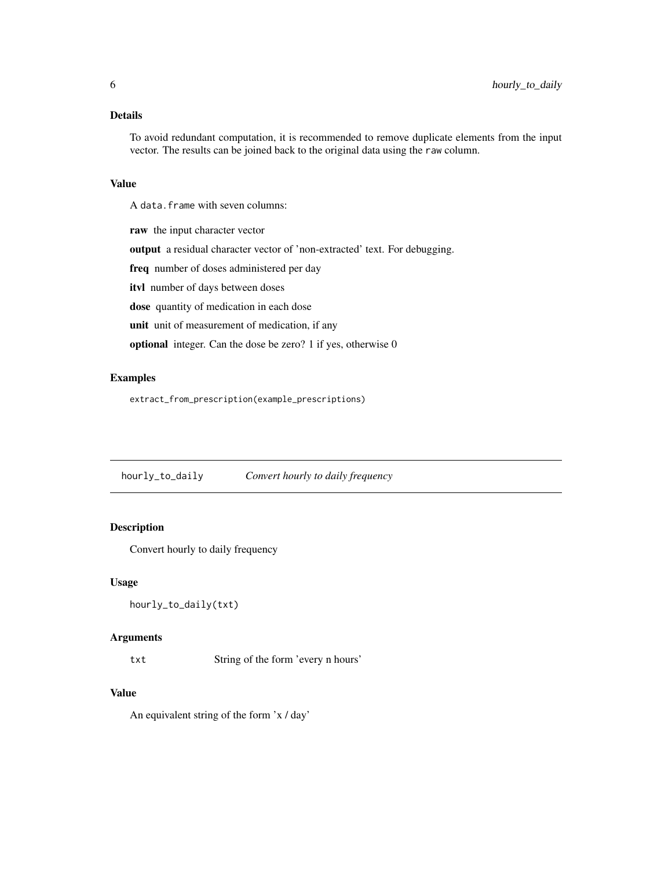<span id="page-5-0"></span>To avoid redundant computation, it is recommended to remove duplicate elements from the input vector. The results can be joined back to the original data using the raw column.

#### Value

A data.frame with seven columns:

raw the input character vector output a residual character vector of 'non-extracted' text. For debugging. freq number of doses administered per day itvl number of days between doses dose quantity of medication in each dose unit unit of measurement of medication, if any optional integer. Can the dose be zero? 1 if yes, otherwise 0

# Examples

extract\_from\_prescription(example\_prescriptions)

hourly\_to\_daily *Convert hourly to daily frequency*

# Description

Convert hourly to daily frequency

#### Usage

```
hourly_to_daily(txt)
```
#### **Arguments**

txt String of the form 'every n hours'

#### Value

An equivalent string of the form 'x / day'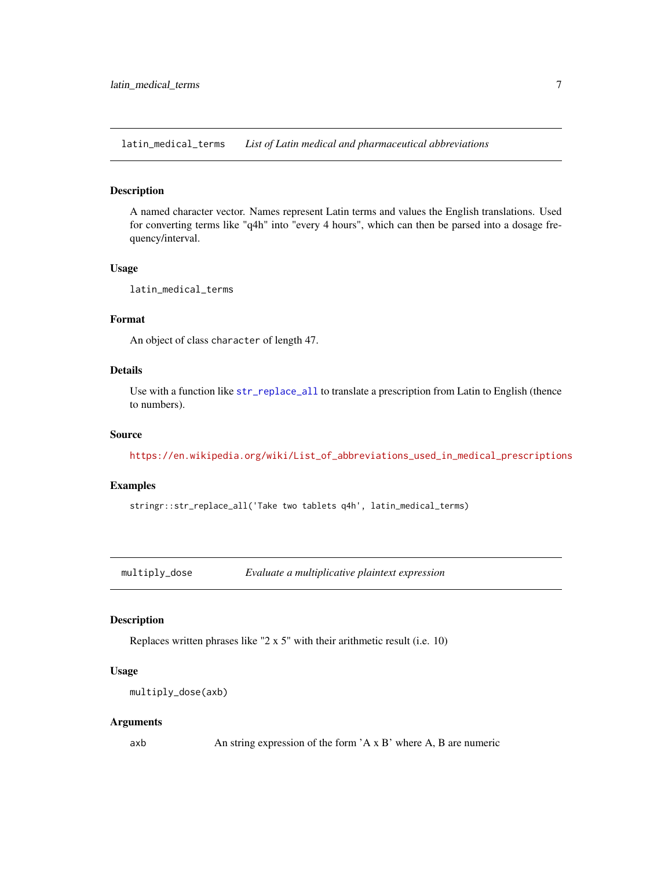<span id="page-6-0"></span>latin\_medical\_terms *List of Latin medical and pharmaceutical abbreviations*

#### **Description**

A named character vector. Names represent Latin terms and values the English translations. Used for converting terms like "q4h" into "every 4 hours", which can then be parsed into a dosage frequency/interval.

#### Usage

latin\_medical\_terms

# Format

An object of class character of length 47.

# Details

Use with a function like [str\\_replace\\_all](#page-0-0) to translate a prescription from Latin to English (thence to numbers).

#### Source

[https://en.wikipedia.org/wiki/List\\_of\\_abbreviations\\_used\\_in\\_medical\\_prescriptions](https://en.wikipedia.org/wiki/List_of_abbreviations_used_in_medical_prescriptions)

#### Examples

stringr::str\_replace\_all('Take two tablets q4h', latin\_medical\_terms)

multiply\_dose *Evaluate a multiplicative plaintext expression*

#### Description

Replaces written phrases like "2 x 5" with their arithmetic result (i.e. 10)

#### Usage

```
multiply_dose(axb)
```
#### Arguments

axb An string expression of the form 'A x B' where A, B are numeric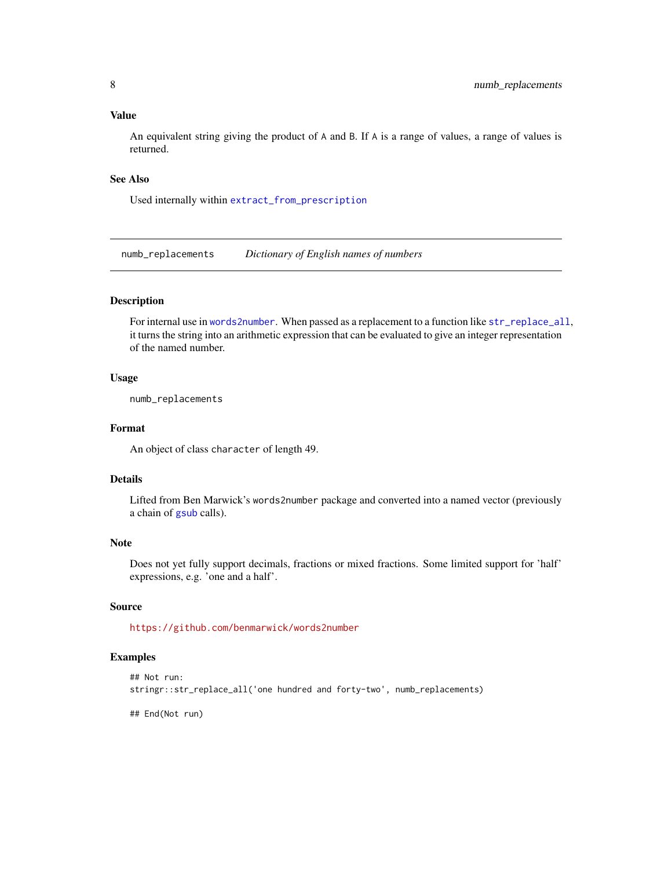#### <span id="page-7-0"></span>Value

An equivalent string giving the product of A and B. If A is a range of values, a range of values is returned.

#### See Also

Used internally within [extract\\_from\\_prescription](#page-4-1)

<span id="page-7-1"></span>numb\_replacements *Dictionary of English names of numbers*

# **Description**

For internal use in [words2number](#page-10-1). When passed as a replacement to a function like [str\\_replace\\_all](#page-0-0), it turns the string into an arithmetic expression that can be evaluated to give an integer representation of the named number.

#### Usage

numb\_replacements

#### Format

An object of class character of length 49.

#### Details

Lifted from Ben Marwick's words2number package and converted into a named vector (previously a chain of [gsub](#page-0-0) calls).

# Note

Does not yet fully support decimals, fractions or mixed fractions. Some limited support for 'half' expressions, e.g. 'one and a half'.

# Source

<https://github.com/benmarwick/words2number>

### Examples

```
## Not run:
stringr::str_replace_all('one hundred and forty-two', numb_replacements)
```
## End(Not run)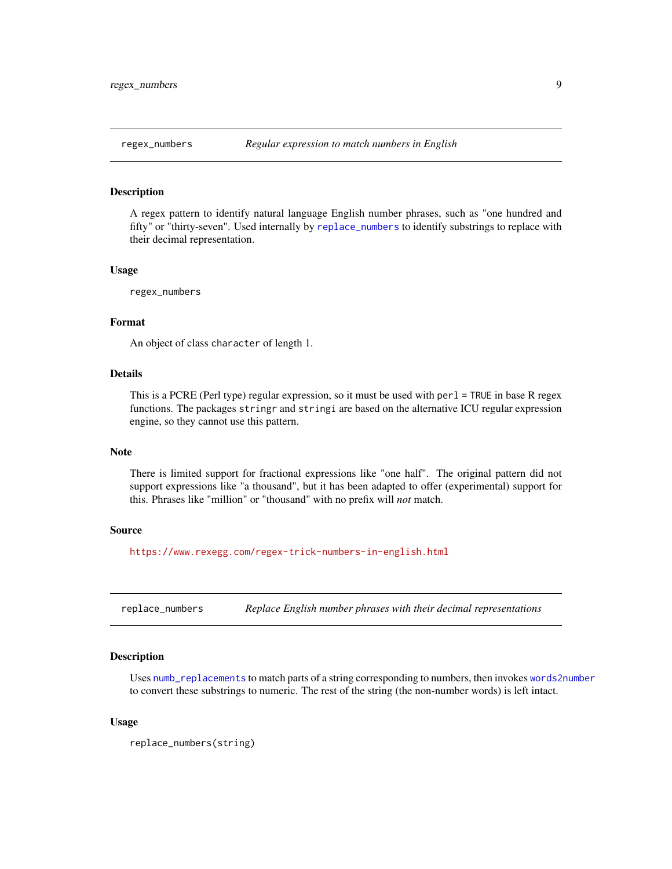<span id="page-8-0"></span>

A regex pattern to identify natural language English number phrases, such as "one hundred and fifty" or "thirty-seven". Used internally by [replace\\_numbers](#page-8-1) to identify substrings to replace with their decimal representation.

#### Usage

regex\_numbers

# Format

An object of class character of length 1.

# Details

This is a PCRE (Perl type) regular expression, so it must be used with perl = TRUE in base R regex functions. The packages stringr and stringi are based on the alternative ICU regular expression engine, so they cannot use this pattern.

#### Note

There is limited support for fractional expressions like "one half". The original pattern did not support expressions like "a thousand", but it has been adapted to offer (experimental) support for this. Phrases like "million" or "thousand" with no prefix will *not* match.

#### Source

<https://www.rexegg.com/regex-trick-numbers-in-english.html>

<span id="page-8-1"></span>replace\_numbers *Replace English number phrases with their decimal representations*

#### Description

Uses [numb\\_replacements](#page-7-1) to match parts of a string corresponding to numbers, then invokes [words2number](#page-10-1) to convert these substrings to numeric. The rest of the string (the non-number words) is left intact.

#### Usage

replace\_numbers(string)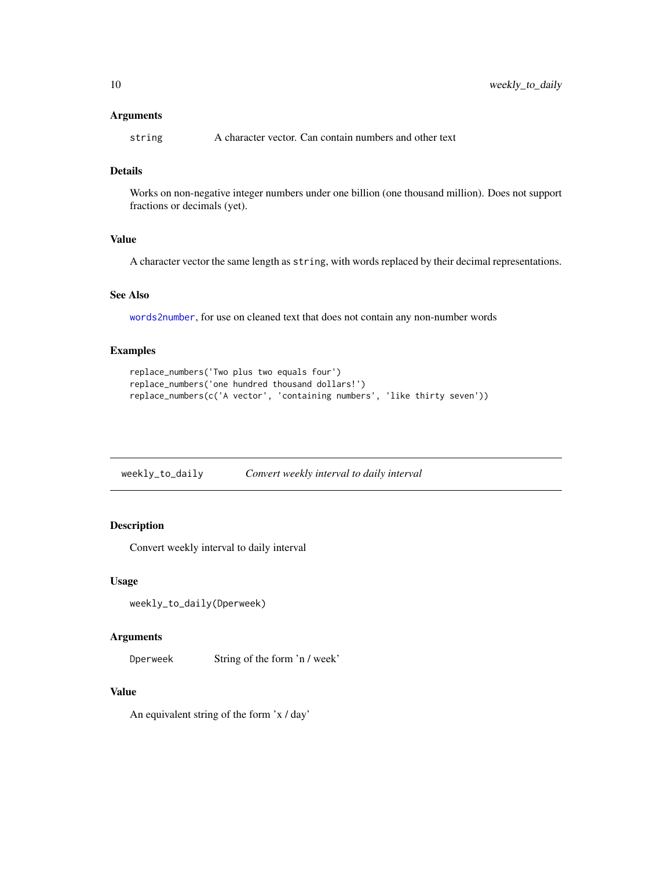#### <span id="page-9-0"></span>Arguments

string A character vector. Can contain numbers and other text

# Details

Works on non-negative integer numbers under one billion (one thousand million). Does not support fractions or decimals (yet).

# Value

A character vector the same length as string, with words replaced by their decimal representations.

# See Also

[words2number](#page-10-1), for use on cleaned text that does not contain any non-number words

# Examples

```
replace_numbers('Two plus two equals four')
replace_numbers('one hundred thousand dollars!')
replace_numbers(c('A vector', 'containing numbers', 'like thirty seven'))
```

| weekly_to_daily | Convert weekly interval to daily interval |  |
|-----------------|-------------------------------------------|--|
|                 |                                           |  |

# Description

Convert weekly interval to daily interval

#### Usage

```
weekly_to_daily(Dperweek)
```
#### Arguments

Dperweek String of the form 'n / week'

#### Value

An equivalent string of the form 'x / day'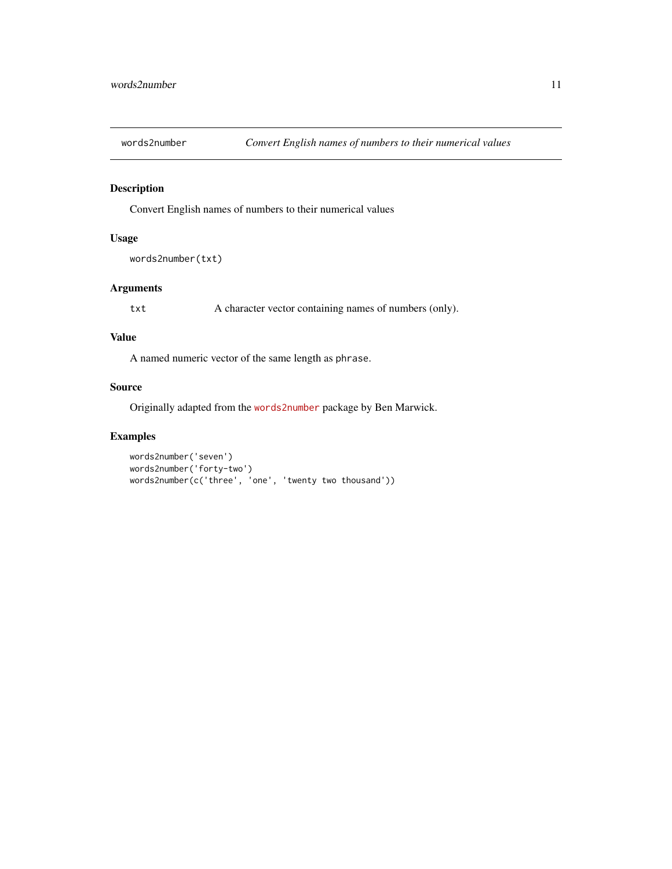<span id="page-10-1"></span><span id="page-10-0"></span>

Convert English names of numbers to their numerical values

# Usage

```
words2number(txt)
```
# Arguments

txt A character vector containing names of numbers (only).

#### Value

A named numeric vector of the same length as phrase.

# Source

Originally adapted from the [words2number](https://github.com/benmarwick/words2number) package by Ben Marwick.

# Examples

```
words2number('seven')
words2number('forty-two')
words2number(c('three', 'one', 'twenty two thousand'))
```